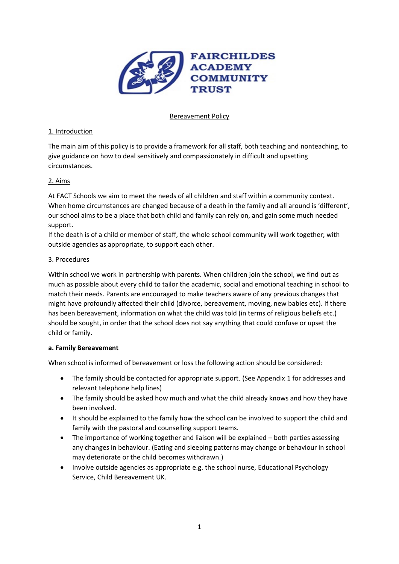

## Bereavement Policy

## 1. Introduction

The main aim of this policy is to provide a framework for all staff, both teaching and nonteaching, to give guidance on how to deal sensitively and compassionately in difficult and upsetting circumstances.

## 2. Aims

At FACT Schools we aim to meet the needs of all children and staff within a community context. When home circumstances are changed because of a death in the family and all around is 'different', our school aims to be a place that both child and family can rely on, and gain some much needed support.

If the death is of a child or member of staff, the whole school community will work together; with outside agencies as appropriate, to support each other.

## 3. Procedures

Within school we work in partnership with parents. When children join the school, we find out as much as possible about every child to tailor the academic, social and emotional teaching in school to match their needs. Parents are encouraged to make teachers aware of any previous changes that might have profoundly affected their child (divorce, bereavement, moving, new babies etc). If there has been bereavement, information on what the child was told (in terms of religious beliefs etc.) should be sought, in order that the school does not say anything that could confuse or upset the child or family.

### **a. Family Bereavement**

When school is informed of bereavement or loss the following action should be considered:

- The family should be contacted for appropriate support. (See Appendix 1 for addresses and relevant telephone help lines)
- The family should be asked how much and what the child already knows and how they have been involved.
- It should be explained to the family how the school can be involved to support the child and family with the pastoral and counselling support teams.
- The importance of working together and liaison will be explained both parties assessing any changes in behaviour. (Eating and sleeping patterns may change or behaviour in school may deteriorate or the child becomes withdrawn.)
- Involve outside agencies as appropriate e.g. the school nurse, Educational Psychology Service, Child Bereavement UK.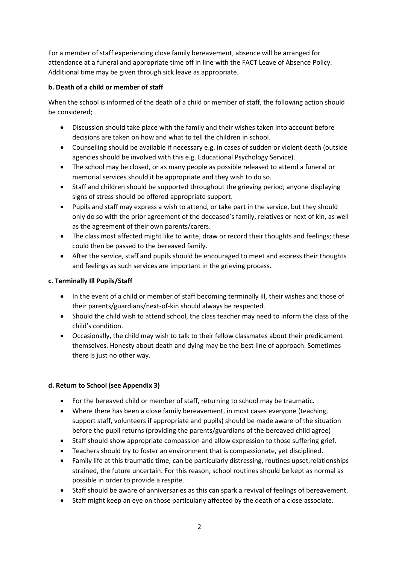For a member of staff experiencing close family bereavement, absence will be arranged for attendance at a funeral and appropriate time off in line with the FACT Leave of Absence Policy. Additional time may be given through sick leave as appropriate.

# **b. Death of a child or member of staff**

When the school is informed of the death of a child or member of staff, the following action should be considered;

- Discussion should take place with the family and their wishes taken into account before decisions are taken on how and what to tell the children in school.
- Counselling should be available if necessary e.g. in cases of sudden or violent death (outside agencies should be involved with this e.g. Educational Psychology Service).
- The school may be closed, or as many people as possible released to attend a funeral or memorial services should it be appropriate and they wish to do so.
- Staff and children should be supported throughout the grieving period; anyone displaying signs of stress should be offered appropriate support.
- Pupils and staff may express a wish to attend, or take part in the service, but they should only do so with the prior agreement of the deceased's family, relatives or next of kin, as well as the agreement of their own parents/carers.
- The class most affected might like to write, draw or record their thoughts and feelings; these could then be passed to the bereaved family.
- After the service, staff and pupils should be encouraged to meet and express their thoughts and feelings as such services are important in the grieving process.

# **c. Terminally Ill Pupils/Staff**

- In the event of a child or member of staff becoming terminally ill, their wishes and those of their parents/guardians/next-of-kin should always be respected.
- Should the child wish to attend school, the class teacher may need to inform the class of the child's condition.
- Occasionally, the child may wish to talk to their fellow classmates about their predicament themselves. Honesty about death and dying may be the best line of approach. Sometimes there is just no other way.

# **d. Return to School (see Appendix 3)**

- For the bereaved child or member of staff, returning to school may be traumatic.
- Where there has been a close family bereavement, in most cases everyone (teaching, support staff, volunteers if appropriate and pupils) should be made aware of the situation before the pupil returns (providing the parents/guardians of the bereaved child agree)
- Staff should show appropriate compassion and allow expression to those suffering grief.
- Teachers should try to foster an environment that is compassionate, yet disciplined.
- Family life at this traumatic time, can be particularly distressing, routines upset,relationships strained, the future uncertain. For this reason, school routines should be kept as normal as possible in order to provide a respite.
- Staff should be aware of anniversaries as this can spark a revival of feelings of bereavement.
- Staff might keep an eye on those particularly affected by the death of a close associate.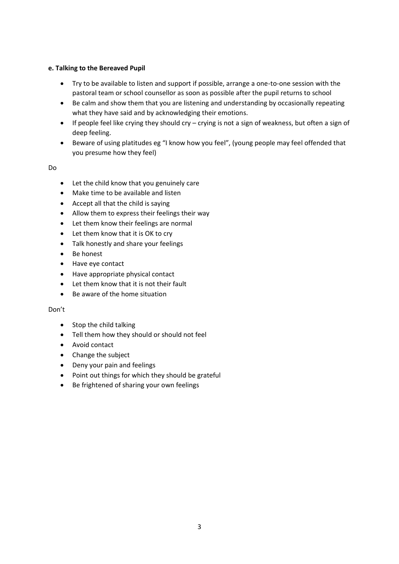## **e. Talking to the Bereaved Pupil**

- Try to be available to listen and support if possible, arrange a one-to-one session with the pastoral team or school counsellor as soon as possible after the pupil returns to school
- Be calm and show them that you are listening and understanding by occasionally repeating what they have said and by acknowledging their emotions.
- If people feel like crying they should cry crying is not a sign of weakness, but often a sign of deep feeling.
- Beware of using platitudes eg "I know how you feel", (young people may feel offended that you presume how they feel)

Do

- Let the child know that you genuinely care
- Make time to be available and listen
- Accept all that the child is saying
- Allow them to express their feelings their way
- Let them know their feelings are normal
- Let them know that it is OK to cry
- Talk honestly and share your feelings
- Be honest
- Have eye contact
- Have appropriate physical contact
- Let them know that it is not their fault
- Be aware of the home situation

### Don't

- Stop the child talking
- Tell them how they should or should not feel
- Avoid contact
- Change the subject
- Deny your pain and feelings
- Point out things for which they should be grateful
- Be frightened of sharing your own feelings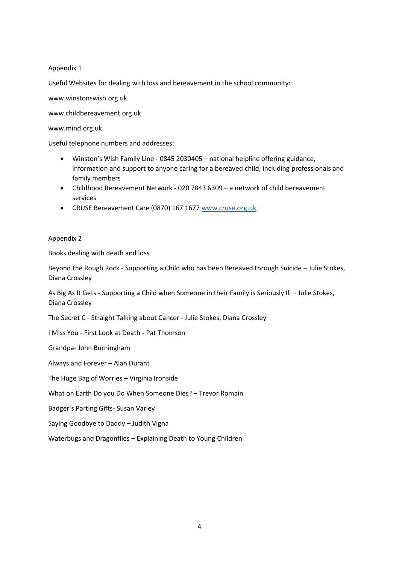Appendix 1

Useful Websites for dealing with loss and bereavement in the school community:

www.winstonswish.org.uk

www.childbereavement.org.uk

www.mind.org.uk

Useful telephone numbers and addresses:

- Winston's Wish Family Line 0845 2030405 national helpline offering guidance, information and support to anyone caring for a bereaved child, including professionals and family members
- Childhood Bereavement Network 020 7843 6309 a network of child bereavement services
- CRUSE Bereavement Care (0870) 167 1677 [www.cruse.org.uk](http://www.cruse.org.uk/)

Appendix 2

Books dealing with death and loss

Beyond the Rough Rock - Supporting a Child who has been Bereaved through Suicide – Julie Stokes, Diana Crossley

As Big As It Gets - Supporting a Child when Someone in their Family is Seriously Ill – Julie Stokes, Diana Crossley

The Secret C - Straight Talking about Cancer - Julie Stokes, Diana Crossley

I Miss You - First Look at Death - Pat Thomson

Grandpa- John Burningham

Always and Forever – Alan Durant

The Huge Bag of Worries – Virginia Ironside

What on Earth Do you Do When Someone Dies? – Trevor Romain

Badger's Parting Gifts- Susan Varley

Saying Goodbye to Daddy – Judith Vigna

Waterbugs and Dragonflies – Explaining Death to Young Children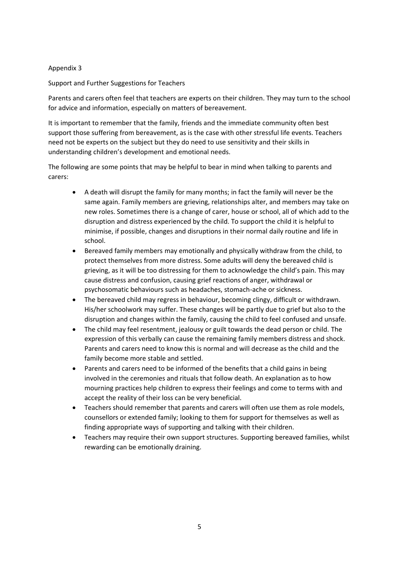## Appendix 3

Support and Further Suggestions for Teachers

Parents and carers often feel that teachers are experts on their children. They may turn to the school for advice and information, especially on matters of bereavement.

It is important to remember that the family, friends and the immediate community often best support those suffering from bereavement, as is the case with other stressful life events. Teachers need not be experts on the subject but they do need to use sensitivity and their skills in understanding children's development and emotional needs.

The following are some points that may be helpful to bear in mind when talking to parents and carers:

- A death will disrupt the family for many months; in fact the family will never be the same again. Family members are grieving, relationships alter, and members may take on new roles. Sometimes there is a change of carer, house or school, all of which add to the disruption and distress experienced by the child. To support the child it is helpful to minimise, if possible, changes and disruptions in their normal daily routine and life in school.
- Bereaved family members may emotionally and physically withdraw from the child, to protect themselves from more distress. Some adults will deny the bereaved child is grieving, as it will be too distressing for them to acknowledge the child's pain. This may cause distress and confusion, causing grief reactions of anger, withdrawal or psychosomatic behaviours such as headaches, stomach-ache or sickness.
- The bereaved child may regress in behaviour, becoming clingy, difficult or withdrawn. His/her schoolwork may suffer. These changes will be partly due to grief but also to the disruption and changes within the family, causing the child to feel confused and unsafe.
- The child may feel resentment, jealousy or guilt towards the dead person or child. The expression of this verbally can cause the remaining family members distress and shock. Parents and carers need to know this is normal and will decrease as the child and the family become more stable and settled.
- Parents and carers need to be informed of the benefits that a child gains in being involved in the ceremonies and rituals that follow death. An explanation as to how mourning practices help children to express their feelings and come to terms with and accept the reality of their loss can be very beneficial.
- Teachers should remember that parents and carers will often use them as role models, counsellors or extended family; looking to them for support for themselves as well as finding appropriate ways of supporting and talking with their children.
- Teachers may require their own support structures. Supporting bereaved families, whilst rewarding can be emotionally draining.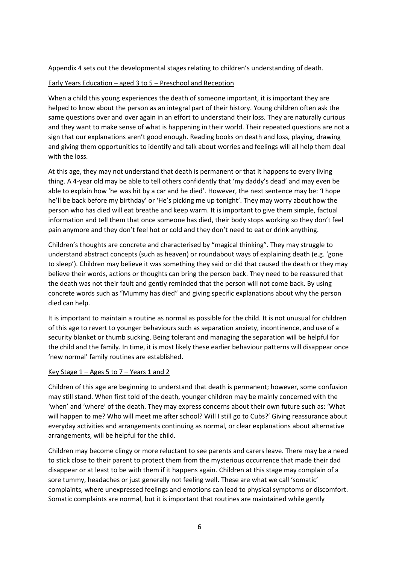Appendix 4 sets out the developmental stages relating to children's understanding of death.

### Early Years Education – aged 3 to 5 – Preschool and Reception

When a child this young experiences the death of someone important, it is important they are helped to know about the person as an integral part of their history. Young children often ask the same questions over and over again in an effort to understand their loss. They are naturally curious and they want to make sense of what is happening in their world. Their repeated questions are not a sign that our explanations aren't good enough. Reading books on death and loss, playing, drawing and giving them opportunities to identify and talk about worries and feelings will all help them deal with the loss.

At this age, they may not understand that death is permanent or that it happens to every living thing. A 4-year old may be able to tell others confidently that 'my daddy's dead' and may even be able to explain how 'he was hit by a car and he died'. However, the next sentence may be: 'I hope he'll be back before my birthday' or 'He's picking me up tonight'. They may worry about how the person who has died will eat breathe and keep warm. It is important to give them simple, factual information and tell them that once someone has died, their body stops working so they don't feel pain anymore and they don't feel hot or cold and they don't need to eat or drink anything.

Children's thoughts are concrete and characterised by "magical thinking". They may struggle to understand abstract concepts (such as heaven) or roundabout ways of explaining death (e.g. 'gone to sleep'). Children may believe it was something they said or did that caused the death or they may believe their words, actions or thoughts can bring the person back. They need to be reassured that the death was not their fault and gently reminded that the person will not come back. By using concrete words such as "Mummy has died" and giving specific explanations about why the person died can help.

It is important to maintain a routine as normal as possible for the child. It is not unusual for children of this age to revert to younger behaviours such as separation anxiety, incontinence, and use of a security blanket or thumb sucking. Being tolerant and managing the separation will be helpful for the child and the family. In time, it is most likely these earlier behaviour patterns will disappear once 'new normal' family routines are established.

### Key Stage  $1 -$  Ages 5 to 7 – Years 1 and 2

Children of this age are beginning to understand that death is permanent; however, some confusion may still stand. When first told of the death, younger children may be mainly concerned with the 'when' and 'where' of the death. They may express concerns about their own future such as: 'What will happen to me? Who will meet me after school? Will I still go to Cubs?' Giving reassurance about everyday activities and arrangements continuing as normal, or clear explanations about alternative arrangements, will be helpful for the child.

Children may become clingy or more reluctant to see parents and carers leave. There may be a need to stick close to their parent to protect them from the mysterious occurrence that made their dad disappear or at least to be with them if it happens again. Children at this stage may complain of a sore tummy, headaches or just generally not feeling well. These are what we call 'somatic' complaints, where unexpressed feelings and emotions can lead to physical symptoms or discomfort. Somatic complaints are normal, but it is important that routines are maintained while gently